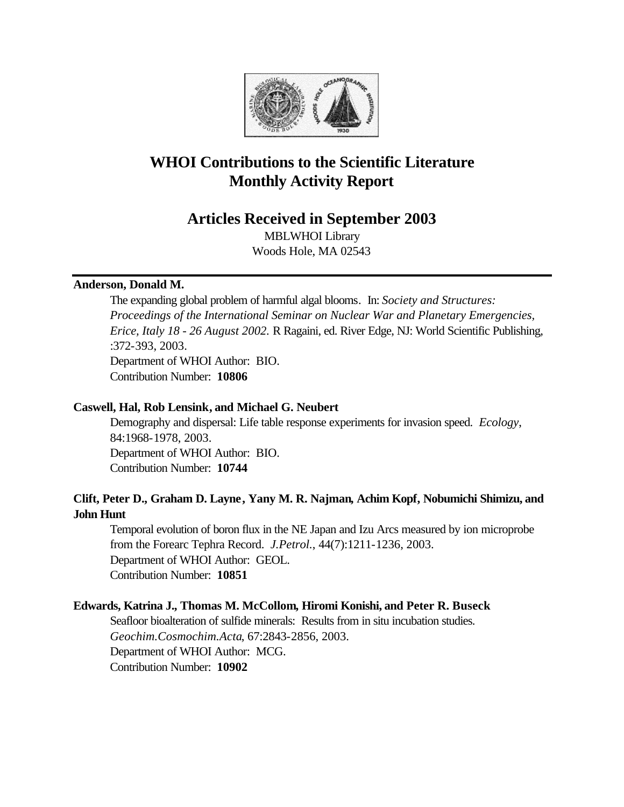

# **WHOI Contributions to the Scientific Literature Monthly Activity Report**

# **Articles Received in September 2003**

MBLWHOI Library Woods Hole, MA 02543

### **Anderson, Donald M.**

The expanding global problem of harmful algal blooms. In: *Society and Structures: Proceedings of the International Seminar on Nuclear War and Planetary Emergencies, Erice, Italy 18 - 26 August 2002.* R Ragaini, ed. River Edge, NJ: World Scientific Publishing, :372-393, 2003. Department of WHOI Author: BIO.

Contribution Number: **10806**

## **Caswell, Hal, Rob Lensink, and Michael G. Neubert**

Demography and dispersal: Life table response experiments for invasion speed. *Ecology*, 84:1968-1978, 2003. Department of WHOI Author: BIO. Contribution Number: **10744**

# **Clift, Peter D., Graham D. Layne, Yany M. R. Najman, Achim Kopf, Nobumichi Shimizu, and John Hunt**

Temporal evolution of boron flux in the NE Japan and Izu Arcs measured by ion microprobe from the Forearc Tephra Record. *J.Petrol.*, 44(7):1211-1236, 2003. Department of WHOI Author: GEOL. Contribution Number: **10851**

# **Edwards, Katrina J., Thomas M. McCollom, Hiromi Konishi, and Peter R. Buseck**

Seafloor bioalteration of sulfide minerals: Results from in situ incubation studies. *Geochim.Cosmochim.Acta*, 67:2843-2856, 2003. Department of WHOI Author: MCG. Contribution Number: **10902**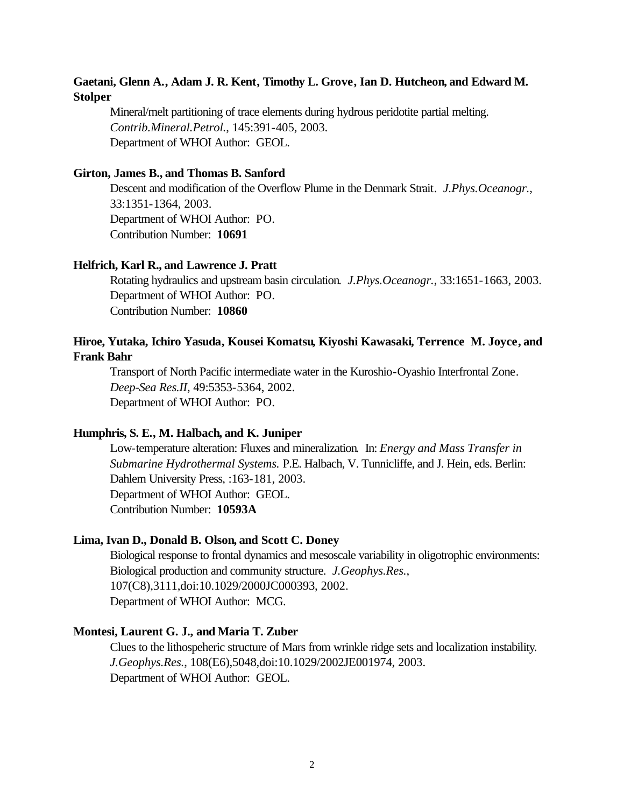# **Gaetani, Glenn A., Adam J. R. Kent, Timothy L. Grove, Ian D. Hutcheon, and Edward M. Stolper**

Mineral/melt partitioning of trace elements during hydrous peridotite partial melting. *Contrib.Mineral.Petrol.*, 145:391-405, 2003. Department of WHOI Author: GEOL.

#### **Girton, James B., and Thomas B. Sanford**

Descent and modification of the Overflow Plume in the Denmark Strait. *J.Phys.Oceanogr.*, 33:1351-1364, 2003. Department of WHOI Author: PO. Contribution Number: **10691**

#### **Helfrich, Karl R., and Lawrence J. Pratt**

Rotating hydraulics and upstream basin circulation. *J.Phys.Oceanogr.*, 33:1651-1663, 2003. Department of WHOI Author: PO. Contribution Number: **10860**

# **Hiroe, Yutaka, Ichiro Yasuda, Kousei Komatsu, Kiyoshi Kawasaki, Terrence M. Joyce, and Frank Bahr**

Transport of North Pacific intermediate water in the Kuroshio-Oyashio Interfrontal Zone. *Deep-Sea Res.II*, 49:5353-5364, 2002. Department of WHOI Author: PO.

#### **Humphris, S. E., M. Halbach, and K. Juniper**

Low-temperature alteration: Fluxes and mineralization. In: *Energy and Mass Transfer in Submarine Hydrothermal Systems.* P.E. Halbach, V. Tunnicliffe, and J. Hein, eds. Berlin: Dahlem University Press, :163-181, 2003. Department of WHOI Author: GEOL. Contribution Number: **10593A**

#### **Lima, Ivan D., Donald B. Olson, and Scott C. Doney**

Biological response to frontal dynamics and mesoscale variability in oligotrophic environments: Biological production and community structure. *J.Geophys.Res.*, 107(C8),3111,doi:10.1029/2000JC000393, 2002. Department of WHOI Author: MCG.

#### **Montesi, Laurent G. J., and Maria T. Zuber**

Clues to the lithospeheric structure of Mars from wrinkle ridge sets and localization instability. *J.Geophys.Res.*, 108(E6),5048,doi:10.1029/2002JE001974, 2003. Department of WHOI Author: GEOL.